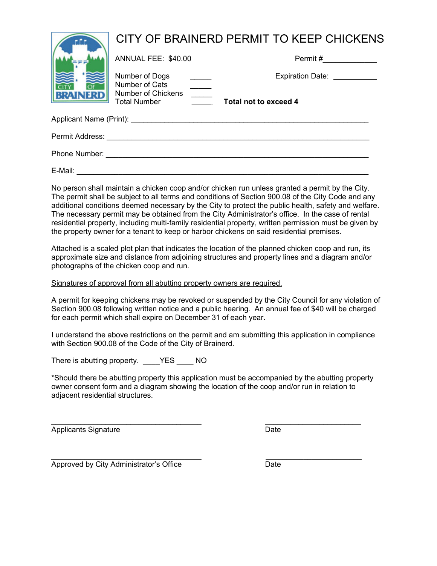|                         | CITY OF BRAINERD PERMIT TO KEEP CHICKENS  |                                    |  |  |
|-------------------------|-------------------------------------------|------------------------------------|--|--|
|                         | ANNUAL FEE: \$40.00                       | Permit #                           |  |  |
|                         | Number of Dogs<br>Number of Cats          | Expiration Date: <u>__________</u> |  |  |
| <b>BRAINERD</b>         | Number of Chickens<br><b>Total Number</b> | Total not to exceed 4              |  |  |
| Applicant Name (Print): |                                           |                                    |  |  |
| Permit Address:         |                                           |                                    |  |  |
| Phone Number:           |                                           |                                    |  |  |

E-Mail: \_\_\_\_\_\_\_\_\_\_\_\_\_\_\_\_\_\_\_\_\_\_\_\_\_\_\_\_\_\_\_\_\_\_\_\_\_\_\_\_\_\_\_\_\_\_\_\_\_\_\_\_\_\_\_\_\_\_\_\_\_\_\_\_\_\_\_\_\_\_

No person shall maintain a chicken coop and/or chicken run unless granted a permit by the City. The permit shall be subject to all terms and conditions of Section 900.08 of the City Code and any additional conditions deemed necessary by the City to protect the public health, safety and welfare. The necessary permit may be obtained from the City Administrator's office. In the case of rental residential property, including multi-family residential property, written permission must be given by the property owner for a tenant to keep or harbor chickens on said residential premises.

Attached is a scaled plot plan that indicates the location of the planned chicken coop and run, its approximate size and distance from adjoining structures and property lines and a diagram and/or photographs of the chicken coop and run.

Signatures of approval from all abutting property owners are required.

A permit for keeping chickens may be revoked or suspended by the City Council for any violation of Section 900.08 following written notice and a public hearing. An annual fee of \$40 will be charged for each permit which shall expire on December 31 of each year.

I understand the above restrictions on the permit and am submitting this application in compliance with Section 900.08 of the Code of the City of Brainerd.

There is abutting property. YES NO

\*Should there be abutting property this application must be accompanied by the abutting property owner consent form and a diagram showing the location of the coop and/or run in relation to adjacent residential structures.

 $\_$  , and the set of the set of the set of the set of the set of the set of the set of the set of the set of the set of the set of the set of the set of the set of the set of the set of the set of the set of the set of th Applicants Signature Date

 $\_$  , and the set of the set of the set of the set of the set of the set of the set of the set of the set of the set of the set of the set of the set of the set of the set of the set of the set of the set of the set of th Approved by City Administrator's Office **Date**